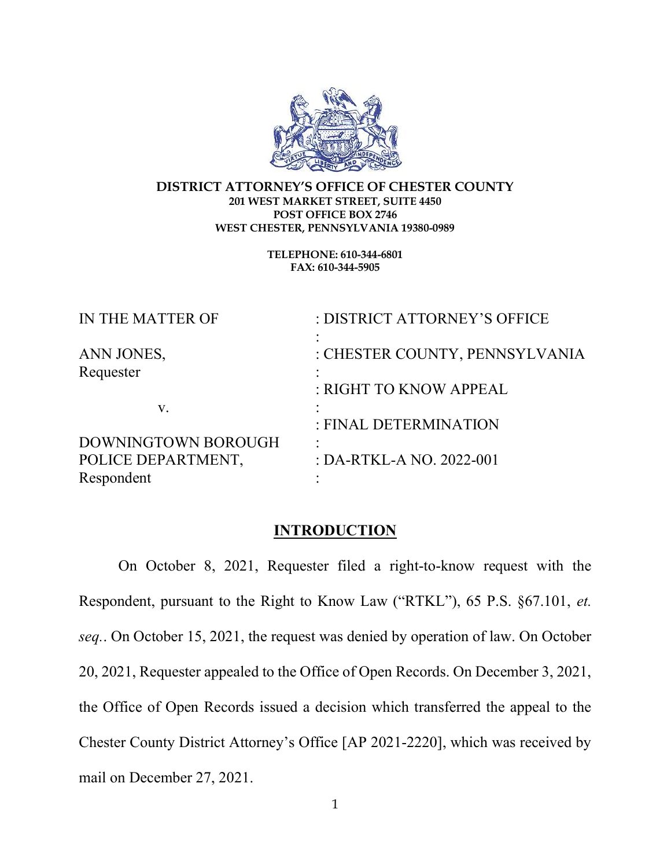

#### DISTRICT ATTORNEY'S OFFICE OF CHESTER COUNTY 201 WEST MARKET STREET, SUITE 4450 POST OFFICE BOX 2746 WEST CHESTER, PENNSYLVANIA 19380-0989

TELEPHONE: 610-344-6801 FAX: 610-344-5905

| IN THE MATTER OF        | : DISTRICT ATTORNEY'S OFFICE   |
|-------------------------|--------------------------------|
| ANN JONES,<br>Requester | : CHESTER COUNTY, PENNSYLVANIA |
|                         | : RIGHT TO KNOW APPEAL         |
| V.                      |                                |
|                         | : FINAL DETERMINATION          |
| DOWNINGTOWN BOROUGH     |                                |
| POLICE DEPARTMENT,      | : DA-RTKL-A NO. 2022-001       |
| Respondent              |                                |

#### **INTRODUCTION**

 On October 8, 2021, Requester filed a right-to-know request with the Respondent, pursuant to the Right to Know Law ("RTKL"), 65 P.S. §67.101, et. seq.. On October 15, 2021, the request was denied by operation of law. On October 20, 2021, Requester appealed to the Office of Open Records. On December 3, 2021, the Office of Open Records issued a decision which transferred the appeal to the Chester County District Attorney's Office [AP 2021-2220], which was received by mail on December 27, 2021.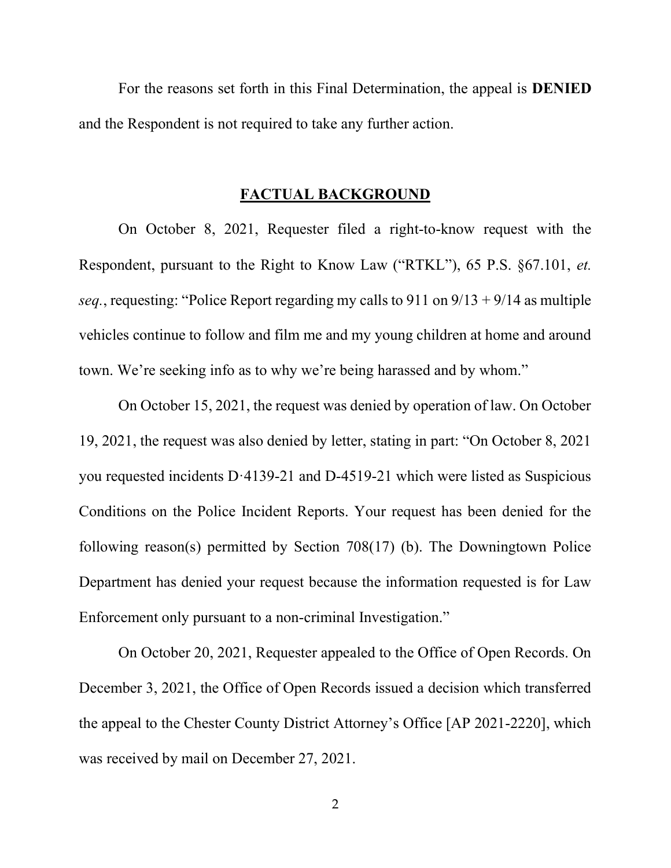For the reasons set forth in this Final Determination, the appeal is DENIED and the Respondent is not required to take any further action.

### FACTUAL BACKGROUND

 On October 8, 2021, Requester filed a right-to-know request with the Respondent, pursuant to the Right to Know Law ("RTKL"), 65 P.S. §67.101, et. seq., requesting: "Police Report regarding my calls to 911 on  $9/13 + 9/14$  as multiple vehicles continue to follow and film me and my young children at home and around town. We're seeking info as to why we're being harassed and by whom."

 On October 15, 2021, the request was denied by operation of law. On October 19, 2021, the request was also denied by letter, stating in part: "On October 8, 2021 you requested incidents D·4139-21 and D-4519-21 which were listed as Suspicious Conditions on the Police Incident Reports. Your request has been denied for the following reason(s) permitted by Section 708(17) (b). The Downingtown Police Department has denied your request because the information requested is for Law Enforcement only pursuant to a non-criminal Investigation."

 On October 20, 2021, Requester appealed to the Office of Open Records. On December 3, 2021, the Office of Open Records issued a decision which transferred the appeal to the Chester County District Attorney's Office [AP 2021-2220], which was received by mail on December 27, 2021.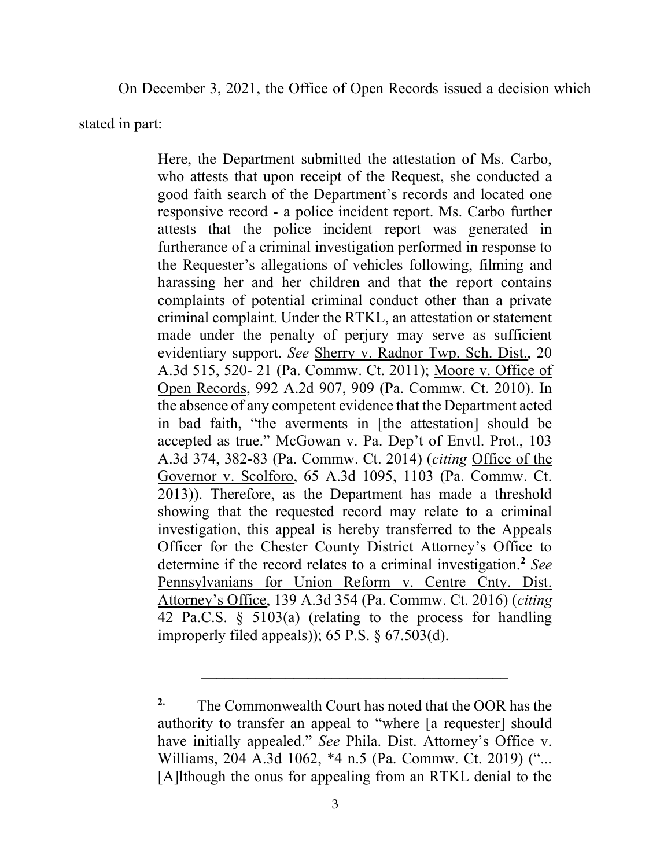On December 3, 2021, the Office of Open Records issued a decision which

stated in part:

Here, the Department submitted the attestation of Ms. Carbo, who attests that upon receipt of the Request, she conducted a good faith search of the Department's records and located one responsive record - a police incident report. Ms. Carbo further attests that the police incident report was generated in furtherance of a criminal investigation performed in response to the Requester's allegations of vehicles following, filming and harassing her and her children and that the report contains complaints of potential criminal conduct other than a private criminal complaint. Under the RTKL, an attestation or statement made under the penalty of perjury may serve as sufficient evidentiary support. See Sherry v. Radnor Twp. Sch. Dist., 20 A.3d 515, 520- 21 (Pa. Commw. Ct. 2011); Moore v. Office of Open Records, 992 A.2d 907, 909 (Pa. Commw. Ct. 2010). In the absence of any competent evidence that the Department acted in bad faith, "the averments in [the attestation] should be accepted as true." McGowan v. Pa. Dep't of Envtl. Prot., 103 A.3d 374, 382-83 (Pa. Commw. Ct. 2014) (citing Office of the Governor v. Scolforo, 65 A.3d 1095, 1103 (Pa. Commw. Ct. 2013)). Therefore, as the Department has made a threshold showing that the requested record may relate to a criminal investigation, this appeal is hereby transferred to the Appeals Officer for the Chester County District Attorney's Office to determine if the record relates to a criminal investigation.<sup>2</sup> See Pennsylvanians for Union Reform v. Centre Cnty. Dist. Attorney's Office, 139 A.3d 354 (Pa. Commw. Ct. 2016) (citing 42 Pa.C.S. § 5103(a) (relating to the process for handling improperly filed appeals)); 65 P.S. § 67.503(d).

<sup>&</sup>lt;sup>2.</sup> The Commonwealth Court has noted that the OOR has the authority to transfer an appeal to "where [a requester] should have initially appealed." See Phila. Dist. Attorney's Office v. Williams, 204 A.3d 1062, \*4 n.5 (Pa. Commw. Ct. 2019) ("... [A]lthough the onus for appealing from an RTKL denial to the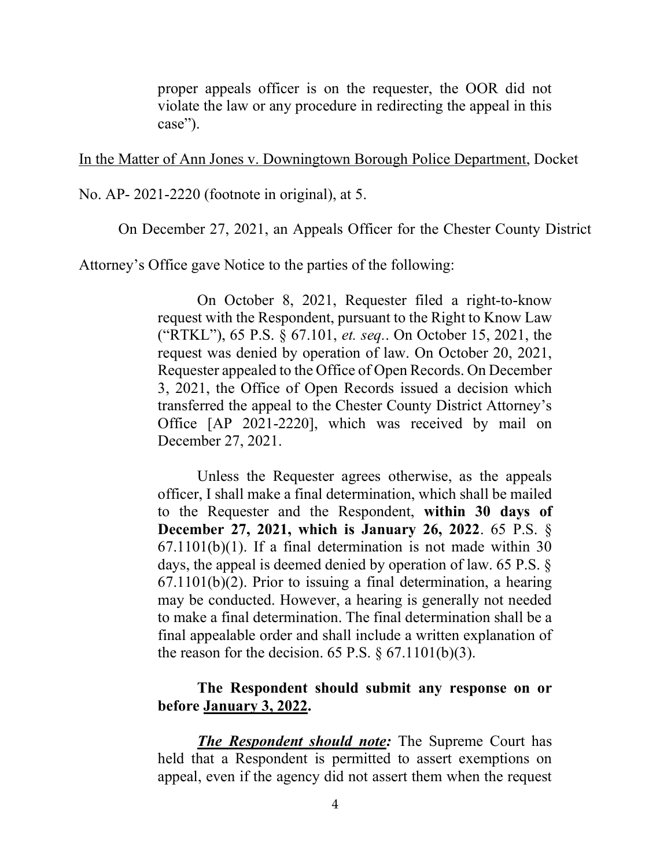proper appeals officer is on the requester, the OOR did not violate the law or any procedure in redirecting the appeal in this case").

In the Matter of Ann Jones v. Downingtown Borough Police Department, Docket

No. AP- 2021-2220 (footnote in original), at 5.

On December 27, 2021, an Appeals Officer for the Chester County District

Attorney's Office gave Notice to the parties of the following:

 On October 8, 2021, Requester filed a right-to-know request with the Respondent, pursuant to the Right to Know Law ("RTKL"), 65 P.S. § 67.101, et. seq.. On October 15, 2021, the request was denied by operation of law. On October 20, 2021, Requester appealed to the Office of Open Records. On December 3, 2021, the Office of Open Records issued a decision which transferred the appeal to the Chester County District Attorney's Office [AP 2021-2220], which was received by mail on December 27, 2021.

 Unless the Requester agrees otherwise, as the appeals officer, I shall make a final determination, which shall be mailed to the Requester and the Respondent, within 30 days of December 27, 2021, which is January 26, 2022. 65 P.S. §  $67.1101(b)(1)$ . If a final determination is not made within 30 days, the appeal is deemed denied by operation of law. 65 P.S. § 67.1101(b)(2). Prior to issuing a final determination, a hearing may be conducted. However, a hearing is generally not needed to make a final determination. The final determination shall be a final appealable order and shall include a written explanation of the reason for the decision. 65 P.S.  $\S$  67.1101(b)(3).

## The Respondent should submit any response on or before January 3, 2022.

The Respondent should note: The Supreme Court has held that a Respondent is permitted to assert exemptions on appeal, even if the agency did not assert them when the request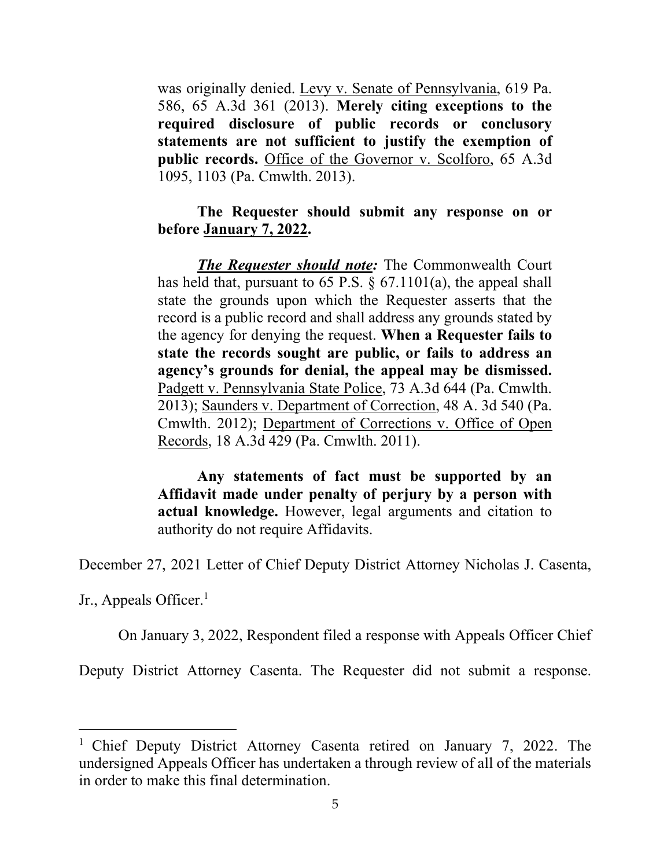was originally denied. Levy v. Senate of Pennsylvania, 619 Pa. 586, 65 A.3d 361 (2013). Merely citing exceptions to the required disclosure of public records or conclusory statements are not sufficient to justify the exemption of public records. Office of the Governor v. Scolforo, 65 A.3d 1095, 1103 (Pa. Cmwlth. 2013).

## The Requester should submit any response on or before January 7, 2022.

**The Requester should note:** The Commonwealth Court has held that, pursuant to 65 P.S. § 67.1101(a), the appeal shall state the grounds upon which the Requester asserts that the record is a public record and shall address any grounds stated by the agency for denying the request. When a Requester fails to state the records sought are public, or fails to address an agency's grounds for denial, the appeal may be dismissed. Padgett v. Pennsylvania State Police, 73 A.3d 644 (Pa. Cmwlth. 2013); Saunders v. Department of Correction, 48 A. 3d 540 (Pa. Cmwlth. 2012); Department of Corrections v. Office of Open Records, 18 A.3d 429 (Pa. Cmwlth. 2011).

Any statements of fact must be supported by an Affidavit made under penalty of perjury by a person with actual knowledge. However, legal arguments and citation to authority do not require Affidavits.

December 27, 2021 Letter of Chief Deputy District Attorney Nicholas J. Casenta,

Jr., Appeals Officer.<sup>1</sup>

On January 3, 2022, Respondent filed a response with Appeals Officer Chief

Deputy District Attorney Casenta. The Requester did not submit a response.

<sup>&</sup>lt;sup>1</sup> Chief Deputy District Attorney Casenta retired on January 7, 2022. The undersigned Appeals Officer has undertaken a through review of all of the materials in order to make this final determination.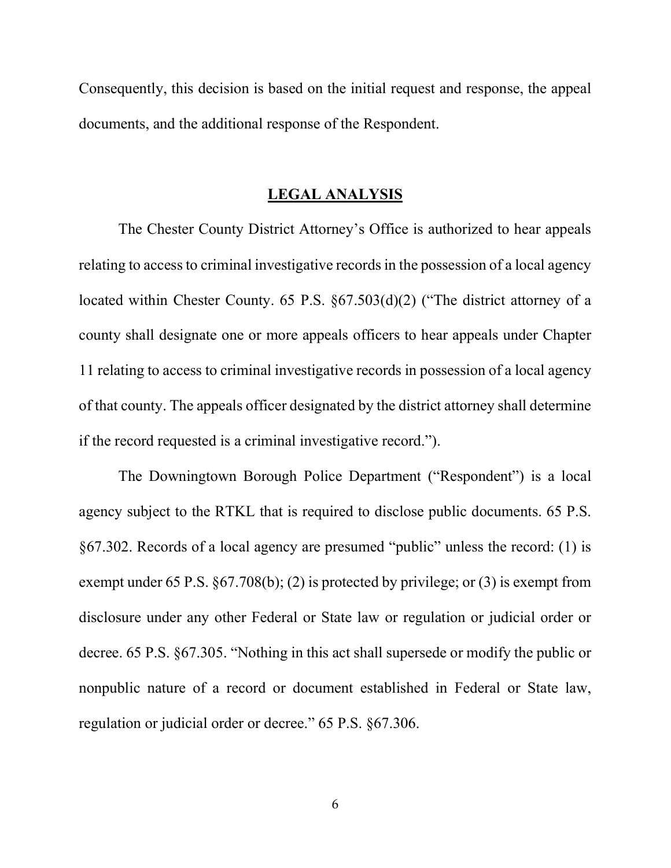Consequently, this decision is based on the initial request and response, the appeal documents, and the additional response of the Respondent.

### LEGAL ANALYSIS

 The Chester County District Attorney's Office is authorized to hear appeals relating to access to criminal investigative records in the possession of a local agency located within Chester County. 65 P.S. §67.503(d)(2) ("The district attorney of a county shall designate one or more appeals officers to hear appeals under Chapter 11 relating to access to criminal investigative records in possession of a local agency of that county. The appeals officer designated by the district attorney shall determine if the record requested is a criminal investigative record.").

 The Downingtown Borough Police Department ("Respondent") is a local agency subject to the RTKL that is required to disclose public documents. 65 P.S. §67.302. Records of a local agency are presumed "public" unless the record: (1) is exempt under 65 P.S. §67.708(b); (2) is protected by privilege; or (3) is exempt from disclosure under any other Federal or State law or regulation or judicial order or decree. 65 P.S. §67.305. "Nothing in this act shall supersede or modify the public or nonpublic nature of a record or document established in Federal or State law, regulation or judicial order or decree." 65 P.S. §67.306.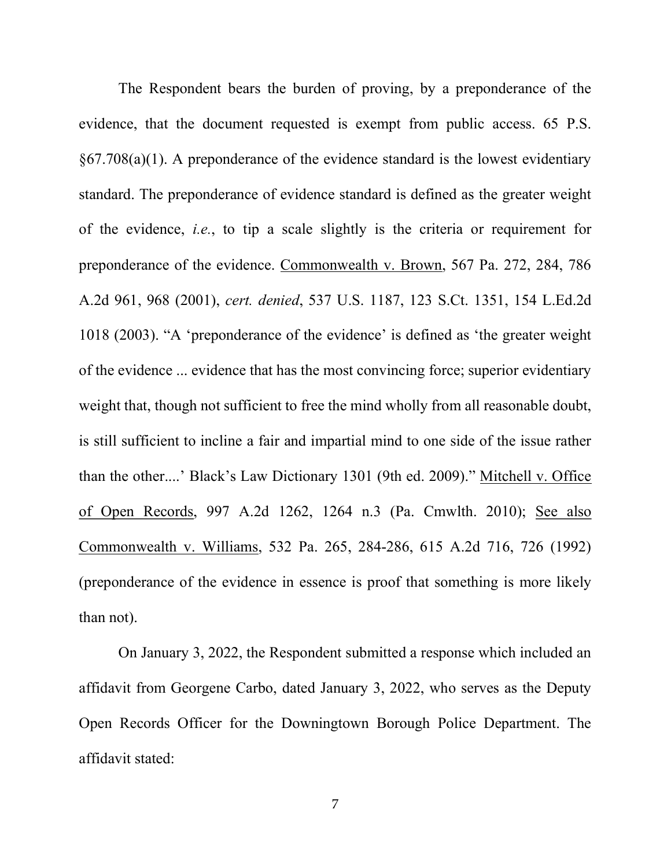The Respondent bears the burden of proving, by a preponderance of the evidence, that the document requested is exempt from public access. 65 P.S. §67.708(a)(1). A preponderance of the evidence standard is the lowest evidentiary standard. The preponderance of evidence standard is defined as the greater weight of the evidence, i.e., to tip a scale slightly is the criteria or requirement for preponderance of the evidence. Commonwealth v. Brown, 567 Pa. 272, 284, 786 A.2d 961, 968 (2001), cert. denied, 537 U.S. 1187, 123 S.Ct. 1351, 154 L.Ed.2d 1018 (2003). "A 'preponderance of the evidence' is defined as 'the greater weight of the evidence ... evidence that has the most convincing force; superior evidentiary weight that, though not sufficient to free the mind wholly from all reasonable doubt, is still sufficient to incline a fair and impartial mind to one side of the issue rather than the other....' Black's Law Dictionary 1301 (9th ed. 2009)." Mitchell v. Office of Open Records, 997 A.2d 1262, 1264 n.3 (Pa. Cmwlth. 2010); See also Commonwealth v. Williams, 532 Pa. 265, 284-286, 615 A.2d 716, 726 (1992) (preponderance of the evidence in essence is proof that something is more likely than not).

 On January 3, 2022, the Respondent submitted a response which included an affidavit from Georgene Carbo, dated January 3, 2022, who serves as the Deputy Open Records Officer for the Downingtown Borough Police Department. The affidavit stated: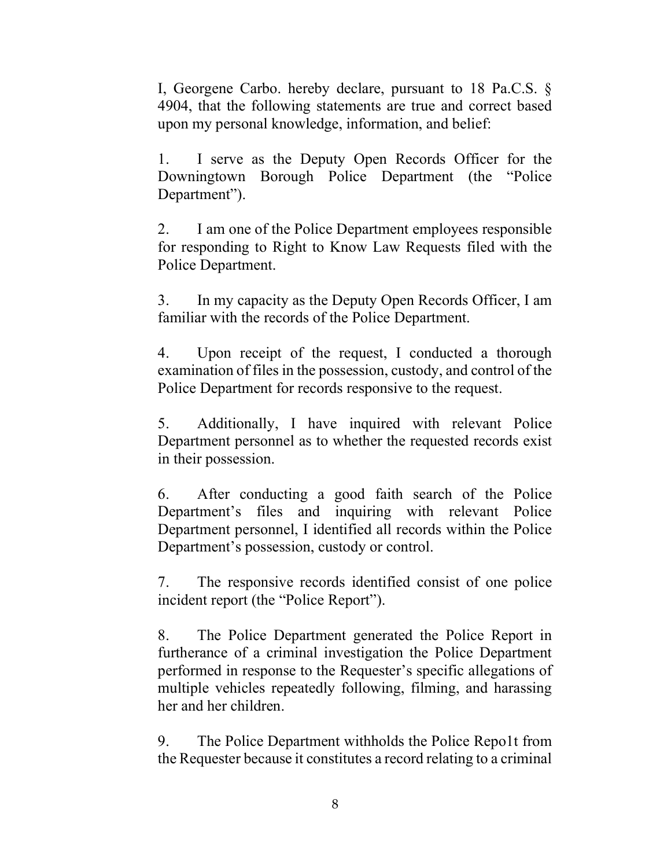I, Georgene Carbo. hereby declare, pursuant to 18 Pa.C.S. § 4904, that the following statements are true and correct based upon my personal knowledge, information, and belief:

1. I serve as the Deputy Open Records Officer for the Downingtown Borough Police Department (the "Police Department").

2. I am one of the Police Department employees responsible for responding to Right to Know Law Requests filed with the Police Department.

3. In my capacity as the Deputy Open Records Officer, I am familiar with the records of the Police Department.

4. Upon receipt of the request, I conducted a thorough examination of files in the possession, custody, and control of the Police Department for records responsive to the request.

5. Additionally, I have inquired with relevant Police Department personnel as to whether the requested records exist in their possession.

6. After conducting a good faith search of the Police Department's files and inquiring with relevant Police Department personnel, I identified all records within the Police Department's possession, custody or control.

7. The responsive records identified consist of one police incident report (the "Police Report").

8. The Police Department generated the Police Report in furtherance of a criminal investigation the Police Department performed in response to the Requester's specific allegations of multiple vehicles repeatedly following, filming, and harassing her and her children.

9. The Police Department withholds the Police Repo1t from the Requester because it constitutes a record relating to a criminal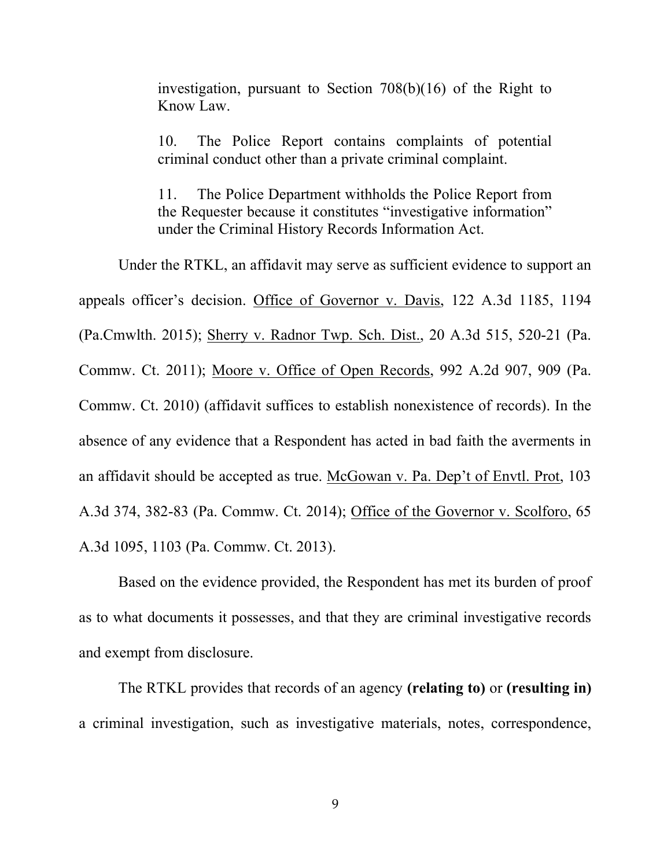investigation, pursuant to Section 708(b)(16) of the Right to Know Law.

10. The Police Report contains complaints of potential criminal conduct other than a private criminal complaint.

11. The Police Department withholds the Police Report from the Requester because it constitutes "investigative information" under the Criminal History Records Information Act.

 Under the RTKL, an affidavit may serve as sufficient evidence to support an appeals officer's decision. Office of Governor v. Davis, 122 A.3d 1185, 1194 (Pa.Cmwlth. 2015); Sherry v. Radnor Twp. Sch. Dist., 20 A.3d 515, 520-21 (Pa. Commw. Ct. 2011); Moore v. Office of Open Records, 992 A.2d 907, 909 (Pa. Commw. Ct. 2010) (affidavit suffices to establish nonexistence of records). In the absence of any evidence that a Respondent has acted in bad faith the averments in an affidavit should be accepted as true. McGowan v. Pa. Dep't of Envtl. Prot, 103 A.3d 374, 382-83 (Pa. Commw. Ct. 2014); Office of the Governor v. Scolforo, 65 A.3d 1095, 1103 (Pa. Commw. Ct. 2013).

 Based on the evidence provided, the Respondent has met its burden of proof as to what documents it possesses, and that they are criminal investigative records and exempt from disclosure.

The RTKL provides that records of an agency (relating to) or (resulting in) a criminal investigation, such as investigative materials, notes, correspondence,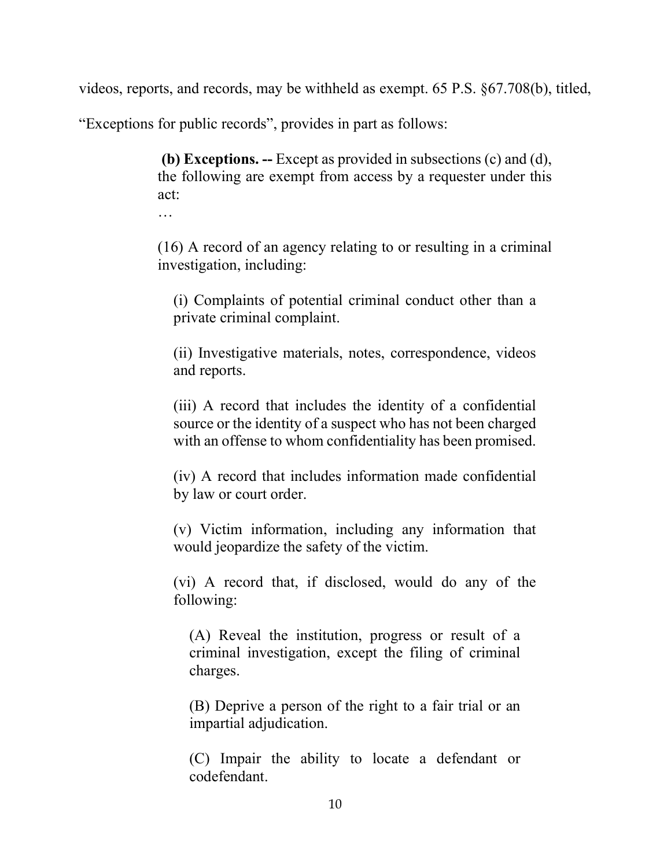videos, reports, and records, may be withheld as exempt. 65 P.S. §67.708(b), titled,

"Exceptions for public records", provides in part as follows:

 (b) Exceptions. -- Except as provided in subsections (c) and (d), the following are exempt from access by a requester under this act:

…

(16) A record of an agency relating to or resulting in a criminal investigation, including:

(i) Complaints of potential criminal conduct other than a private criminal complaint.

(ii) Investigative materials, notes, correspondence, videos and reports.

(iii) A record that includes the identity of a confidential source or the identity of a suspect who has not been charged with an offense to whom confidentiality has been promised.

(iv) A record that includes information made confidential by law or court order.

(v) Victim information, including any information that would jeopardize the safety of the victim.

(vi) A record that, if disclosed, would do any of the following:

(A) Reveal the institution, progress or result of a criminal investigation, except the filing of criminal charges.

(B) Deprive a person of the right to a fair trial or an impartial adjudication.

(C) Impair the ability to locate a defendant or codefendant.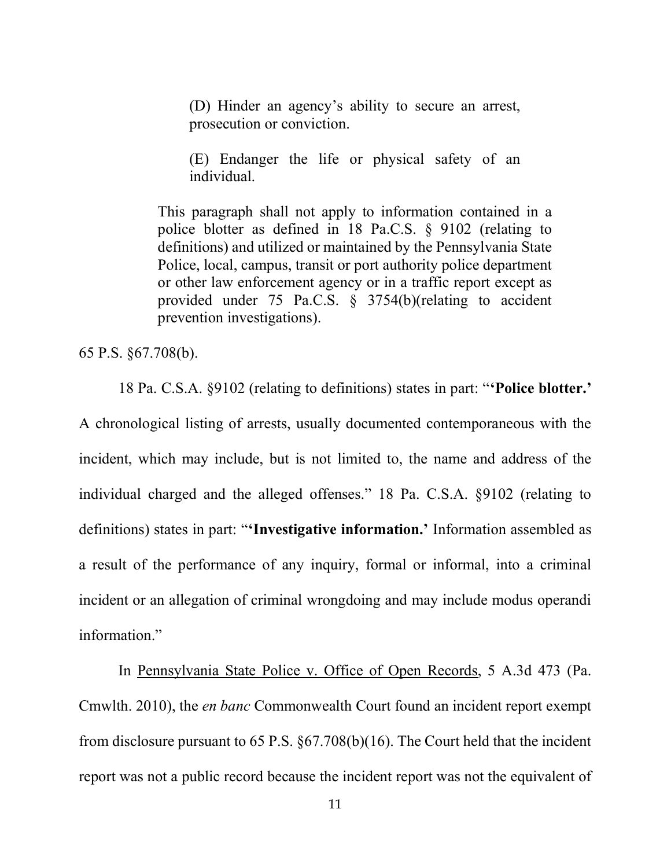(D) Hinder an agency's ability to secure an arrest, prosecution or conviction.

(E) Endanger the life or physical safety of an individual.

This paragraph shall not apply to information contained in a police blotter as defined in 18 Pa.C.S. § 9102 (relating to definitions) and utilized or maintained by the Pennsylvania State Police, local, campus, transit or port authority police department or other law enforcement agency or in a traffic report except as provided under 75 Pa.C.S. § 3754(b)(relating to accident prevention investigations).

65 P.S. §67.708(b).

18 Pa. C.S.A. §9102 (relating to definitions) states in part: "'Police blotter.' A chronological listing of arrests, usually documented contemporaneous with the incident, which may include, but is not limited to, the name and address of the individual charged and the alleged offenses." 18 Pa. C.S.A. §9102 (relating to definitions) states in part: "'Investigative information.' Information assembled as a result of the performance of any inquiry, formal or informal, into a criminal incident or an allegation of criminal wrongdoing and may include modus operandi information."

 In Pennsylvania State Police v. Office of Open Records, 5 A.3d 473 (Pa. Cmwlth. 2010), the en banc Commonwealth Court found an incident report exempt from disclosure pursuant to 65 P.S. §67.708(b)(16). The Court held that the incident report was not a public record because the incident report was not the equivalent of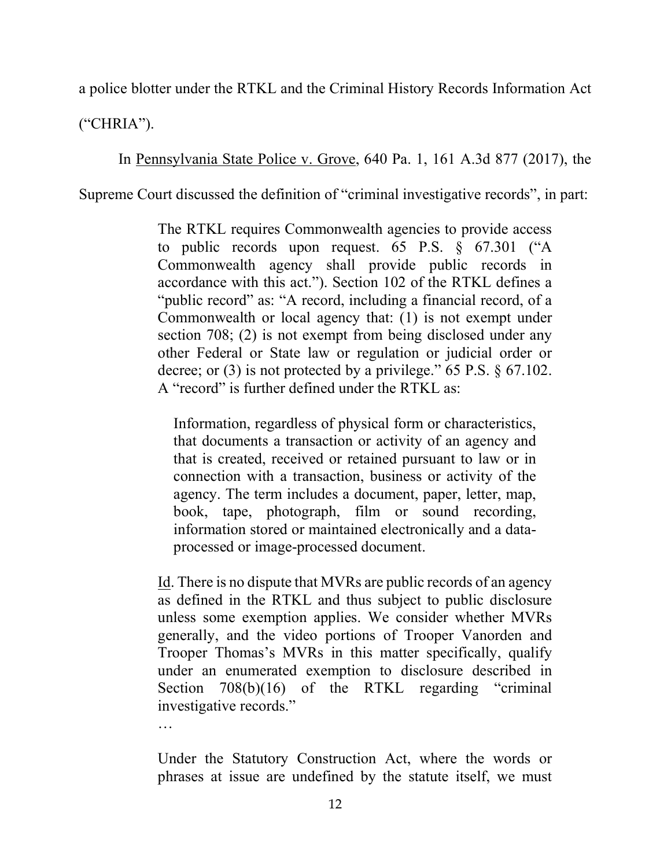a police blotter under the RTKL and the Criminal History Records Information Act

("CHRIA").

In Pennsylvania State Police v. Grove, 640 Pa. 1, 161 A.3d 877 (2017), the

Supreme Court discussed the definition of "criminal investigative records", in part:

The RTKL requires Commonwealth agencies to provide access to public records upon request. 65 P.S. § 67.301 ("A Commonwealth agency shall provide public records in accordance with this act."). Section 102 of the RTKL defines a "public record" as: "A record, including a financial record, of a Commonwealth or local agency that: (1) is not exempt under section 708; (2) is not exempt from being disclosed under any other Federal or State law or regulation or judicial order or decree; or (3) is not protected by a privilege." 65 P.S. § 67.102. A "record" is further defined under the RTKL as:

Information, regardless of physical form or characteristics, that documents a transaction or activity of an agency and that is created, received or retained pursuant to law or in connection with a transaction, business or activity of the agency. The term includes a document, paper, letter, map, book, tape, photograph, film or sound recording, information stored or maintained electronically and a dataprocessed or image-processed document.

Id. There is no dispute that MVRs are public records of an agency as defined in the RTKL and thus subject to public disclosure unless some exemption applies. We consider whether MVRs generally, and the video portions of Trooper Vanorden and Trooper Thomas's MVRs in this matter specifically, qualify under an enumerated exemption to disclosure described in Section 708(b)(16) of the RTKL regarding "criminal investigative records."

…

Under the Statutory Construction Act, where the words or phrases at issue are undefined by the statute itself, we must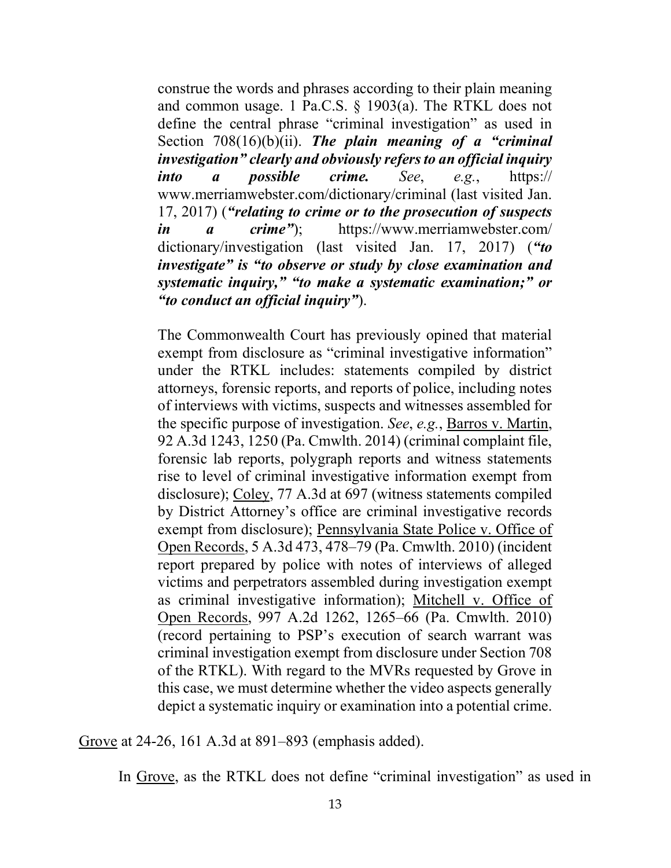construe the words and phrases according to their plain meaning and common usage. 1 Pa.C.S. § 1903(a). The RTKL does not define the central phrase "criminal investigation" as used in Section  $708(16)(b)(ii)$ . The plain meaning of a "criminal" investigation" clearly and obviously refers to an official inquiry into a possible crime. See, e.g.,  $htips://$ www.merriamwebster.com/dictionary/criminal (last visited Jan. 17, 2017) ("relating to crime or to the prosecution of suspects in a crime"); https://www.merriamwebster.com/ dictionary/investigation (last visited Jan. 17, 2017) ("to investigate" is "to observe or study by close examination and systematic inquiry," "to make a systematic examination;" or "to conduct an official inquiry").

The Commonwealth Court has previously opined that material exempt from disclosure as "criminal investigative information" under the RTKL includes: statements compiled by district attorneys, forensic reports, and reports of police, including notes of interviews with victims, suspects and witnesses assembled for the specific purpose of investigation. See, e.g., Barros v. Martin, 92 A.3d 1243, 1250 (Pa. Cmwlth. 2014) (criminal complaint file, forensic lab reports, polygraph reports and witness statements rise to level of criminal investigative information exempt from disclosure); Coley, 77 A.3d at 697 (witness statements compiled by District Attorney's office are criminal investigative records exempt from disclosure); Pennsylvania State Police v. Office of Open Records, 5 A.3d 473, 478–79 (Pa. Cmwlth. 2010) (incident report prepared by police with notes of interviews of alleged victims and perpetrators assembled during investigation exempt as criminal investigative information); Mitchell v. Office of Open Records, 997 A.2d 1262, 1265–66 (Pa. Cmwlth. 2010) (record pertaining to PSP's execution of search warrant was criminal investigation exempt from disclosure under Section 708 of the RTKL). With regard to the MVRs requested by Grove in this case, we must determine whether the video aspects generally depict a systematic inquiry or examination into a potential crime.

Grove at 24-26, 161 A.3d at 891–893 (emphasis added).

In Grove, as the RTKL does not define "criminal investigation" as used in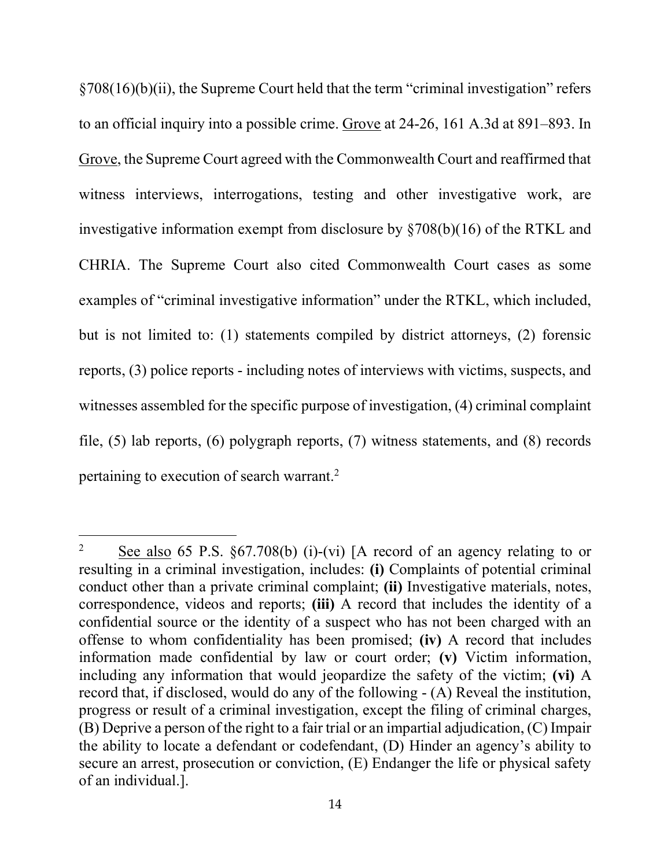§708(16)(b)(ii), the Supreme Court held that the term "criminal investigation" refers to an official inquiry into a possible crime. Grove at 24-26, 161 A.3d at 891–893. In Grove, the Supreme Court agreed with the Commonwealth Court and reaffirmed that witness interviews, interrogations, testing and other investigative work, are investigative information exempt from disclosure by §708(b)(16) of the RTKL and CHRIA. The Supreme Court also cited Commonwealth Court cases as some examples of "criminal investigative information" under the RTKL, which included, but is not limited to: (1) statements compiled by district attorneys, (2) forensic reports, (3) police reports - including notes of interviews with victims, suspects, and witnesses assembled for the specific purpose of investigation, (4) criminal complaint file, (5) lab reports, (6) polygraph reports, (7) witness statements, and (8) records pertaining to execution of search warrant.<sup>2</sup>

<sup>2</sup> See also 65 P.S. §67.708(b) (i)-(vi) [A record of an agency relating to or resulting in a criminal investigation, includes: (i) Complaints of potential criminal conduct other than a private criminal complaint; (ii) Investigative materials, notes, correspondence, videos and reports; (iii) A record that includes the identity of a confidential source or the identity of a suspect who has not been charged with an offense to whom confidentiality has been promised; (iv) A record that includes information made confidential by law or court order; (v) Victim information, including any information that would jeopardize the safety of the victim; (vi) A record that, if disclosed, would do any of the following - (A) Reveal the institution, progress or result of a criminal investigation, except the filing of criminal charges, (B) Deprive a person of the right to a fair trial or an impartial adjudication, (C) Impair the ability to locate a defendant or codefendant, (D) Hinder an agency's ability to secure an arrest, prosecution or conviction, (E) Endanger the life or physical safety of an individual.].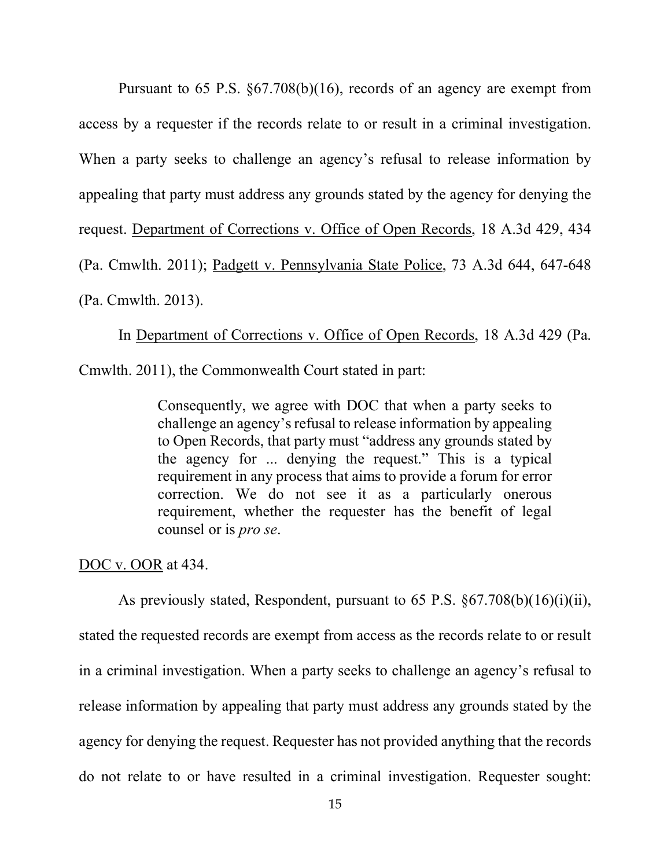Pursuant to 65 P.S. §67.708(b)(16), records of an agency are exempt from access by a requester if the records relate to or result in a criminal investigation. When a party seeks to challenge an agency's refusal to release information by appealing that party must address any grounds stated by the agency for denying the request. Department of Corrections v. Office of Open Records, 18 A.3d 429, 434 (Pa. Cmwlth. 2011); Padgett v. Pennsylvania State Police, 73 A.3d 644, 647-648 (Pa. Cmwlth. 2013).

 In Department of Corrections v. Office of Open Records, 18 A.3d 429 (Pa. Cmwlth. 2011), the Commonwealth Court stated in part:

Consequently, we agree with DOC that when a party seeks to challenge an agency's refusal to release information by appealing to Open Records, that party must "address any grounds stated by

the agency for ... denying the request." This is a typical requirement in any process that aims to provide a forum for error correction. We do not see it as a particularly onerous requirement, whether the requester has the benefit of legal counsel or is pro se.

DOC v. OOR at 434.

 As previously stated, Respondent, pursuant to 65 P.S. §67.708(b)(16)(i)(ii), stated the requested records are exempt from access as the records relate to or result in a criminal investigation. When a party seeks to challenge an agency's refusal to release information by appealing that party must address any grounds stated by the agency for denying the request. Requester has not provided anything that the records do not relate to or have resulted in a criminal investigation. Requester sought: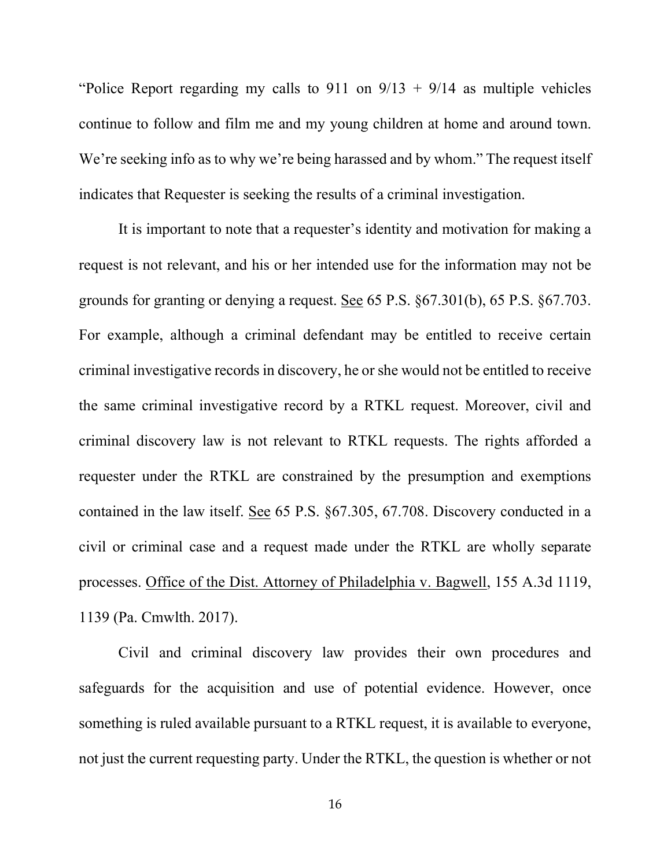"Police Report regarding my calls to 911 on  $9/13 + 9/14$  as multiple vehicles continue to follow and film me and my young children at home and around town. We're seeking info as to why we're being harassed and by whom." The request itself indicates that Requester is seeking the results of a criminal investigation.

 It is important to note that a requester's identity and motivation for making a request is not relevant, and his or her intended use for the information may not be grounds for granting or denying a request. See 65 P.S. §67.301(b), 65 P.S. §67.703. For example, although a criminal defendant may be entitled to receive certain criminal investigative records in discovery, he or she would not be entitled to receive the same criminal investigative record by a RTKL request. Moreover, civil and criminal discovery law is not relevant to RTKL requests. The rights afforded a requester under the RTKL are constrained by the presumption and exemptions contained in the law itself. See 65 P.S. §67.305, 67.708. Discovery conducted in a civil or criminal case and a request made under the RTKL are wholly separate processes. Office of the Dist. Attorney of Philadelphia v. Bagwell, 155 A.3d 1119, 1139 (Pa. Cmwlth. 2017).

 Civil and criminal discovery law provides their own procedures and safeguards for the acquisition and use of potential evidence. However, once something is ruled available pursuant to a RTKL request, it is available to everyone, not just the current requesting party. Under the RTKL, the question is whether or not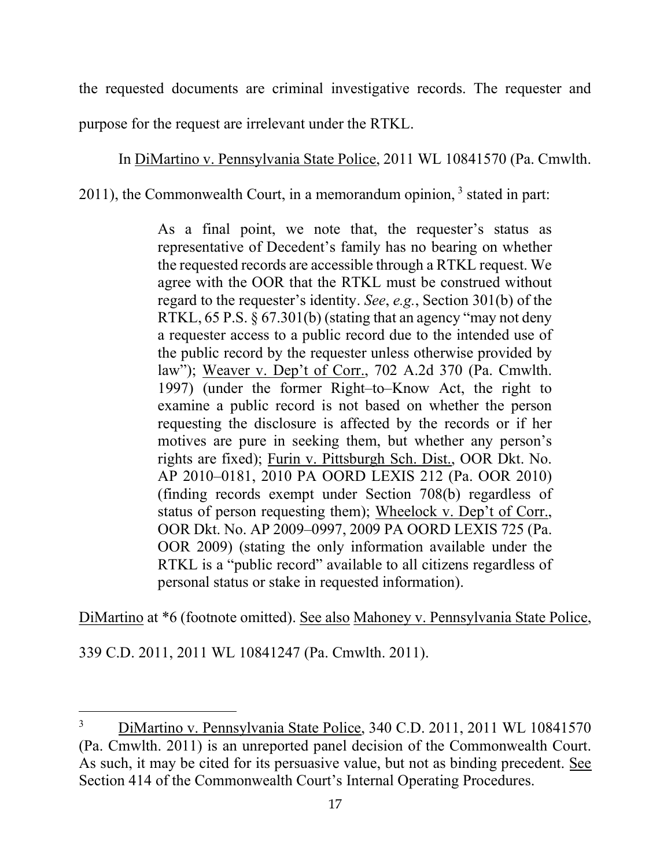the requested documents are criminal investigative records. The requester and purpose for the request are irrelevant under the RTKL.

In DiMartino v. Pennsylvania State Police, 2011 WL 10841570 (Pa. Cmwlth.

 $2011$ ), the Commonwealth Court, in a memorandum opinion,  $3$  stated in part:

As a final point, we note that, the requester's status as representative of Decedent's family has no bearing on whether the requested records are accessible through a RTKL request. We agree with the OOR that the RTKL must be construed without regard to the requester's identity. See, e.g., Section 301(b) of the RTKL, 65 P.S. § 67.301(b) (stating that an agency "may not deny a requester access to a public record due to the intended use of the public record by the requester unless otherwise provided by law"); Weaver v. Dep't of Corr., 702 A.2d 370 (Pa. Cmwlth. 1997) (under the former Right–to–Know Act, the right to examine a public record is not based on whether the person requesting the disclosure is affected by the records or if her motives are pure in seeking them, but whether any person's rights are fixed); Furin v. Pittsburgh Sch. Dist., OOR Dkt. No. AP 2010–0181, 2010 PA OORD LEXIS 212 (Pa. OOR 2010) (finding records exempt under Section 708(b) regardless of status of person requesting them); Wheelock v. Dep't of Corr., OOR Dkt. No. AP 2009–0997, 2009 PA OORD LEXIS 725 (Pa. OOR 2009) (stating the only information available under the RTKL is a "public record" available to all citizens regardless of personal status or stake in requested information).

DiMartino at \*6 (footnote omitted). See also Mahoney v. Pennsylvania State Police,

339 C.D. 2011, 2011 WL 10841247 (Pa. Cmwlth. 2011).

<sup>3</sup> DiMartino v. Pennsylvania State Police, 340 C.D. 2011, 2011 WL 10841570 (Pa. Cmwlth. 2011) is an unreported panel decision of the Commonwealth Court. As such, it may be cited for its persuasive value, but not as binding precedent. See Section 414 of the Commonwealth Court's Internal Operating Procedures.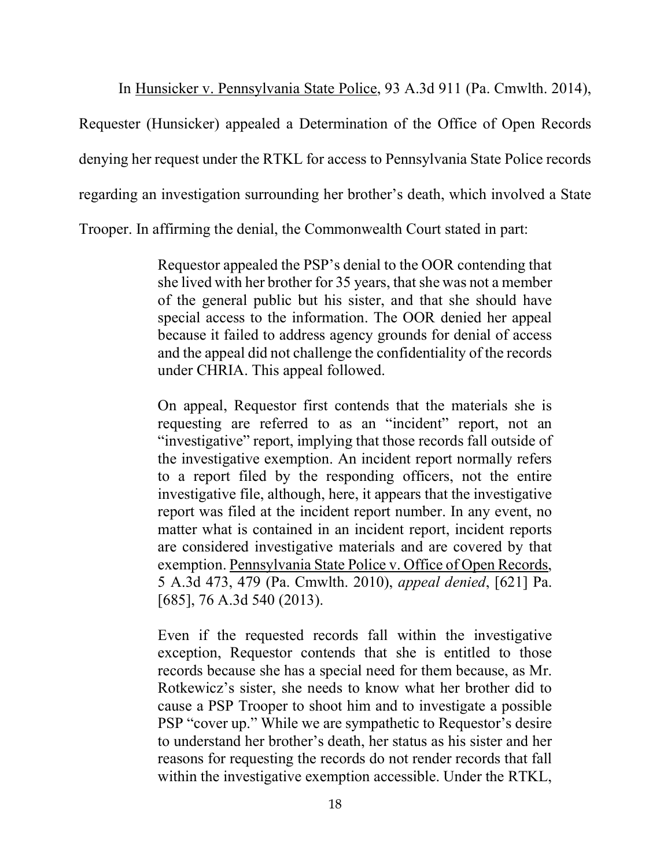In Hunsicker v. Pennsylvania State Police, 93 A.3d 911 (Pa. Cmwlth. 2014),

Requester (Hunsicker) appealed a Determination of the Office of Open Records denying her request under the RTKL for access to Pennsylvania State Police records regarding an investigation surrounding her brother's death, which involved a State

Trooper. In affirming the denial, the Commonwealth Court stated in part:

Requestor appealed the PSP's denial to the OOR contending that she lived with her brother for 35 years, that she was not a member of the general public but his sister, and that she should have special access to the information. The OOR denied her appeal because it failed to address agency grounds for denial of access and the appeal did not challenge the confidentiality of the records under CHRIA. This appeal followed.

On appeal, Requestor first contends that the materials she is requesting are referred to as an "incident" report, not an "investigative" report, implying that those records fall outside of the investigative exemption. An incident report normally refers to a report filed by the responding officers, not the entire investigative file, although, here, it appears that the investigative report was filed at the incident report number. In any event, no matter what is contained in an incident report, incident reports are considered investigative materials and are covered by that exemption. Pennsylvania State Police v. Office of Open Records, 5 A.3d 473, 479 (Pa. Cmwlth. 2010), appeal denied, [621] Pa. [685], 76 A.3d 540 (2013).

Even if the requested records fall within the investigative exception, Requestor contends that she is entitled to those records because she has a special need for them because, as Mr. Rotkewicz's sister, she needs to know what her brother did to cause a PSP Trooper to shoot him and to investigate a possible PSP "cover up." While we are sympathetic to Requestor's desire to understand her brother's death, her status as his sister and her reasons for requesting the records do not render records that fall within the investigative exemption accessible. Under the RTKL,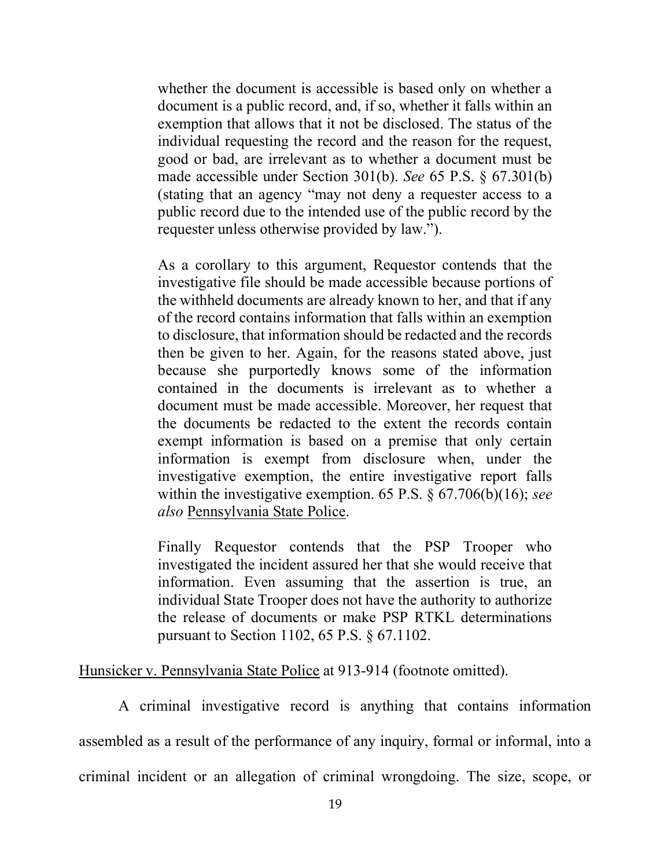whether the document is accessible is based only on whether a document is a public record, and, if so, whether it falls within an exemption that allows that it not be disclosed. The status of the individual requesting the record and the reason for the request, good or bad, are irrelevant as to whether a document must be made accessible under Section 301(b). See 65 P.S. § 67.301(b) (stating that an agency "may not deny a requester access to a public record due to the intended use of the public record by the requester unless otherwise provided by law.").

As a corollary to this argument, Requestor contends that the investigative file should be made accessible because portions of the withheld documents are already known to her, and that if any of the record contains information that falls within an exemption to disclosure, that information should be redacted and the records then be given to her. Again, for the reasons stated above, just because she purportedly knows some of the information contained in the documents is irrelevant as to whether a document must be made accessible. Moreover, her request that the documents be redacted to the extent the records contain exempt information is based on a premise that only certain information is exempt from disclosure when, under the investigative exemption, the entire investigative report falls within the investigative exemption. 65 P.S.  $\S$  67.706(b)(16); see also Pennsylvania State Police.

Finally Requestor contends that the PSP Trooper who investigated the incident assured her that she would receive that information. Even assuming that the assertion is true, an individual State Trooper does not have the authority to authorize the release of documents or make PSP RTKL determinations pursuant to Section 1102, 65 P.S. § 67.1102.

Hunsicker v. Pennsylvania State Police at 913-914 (footnote omitted).

 A criminal investigative record is anything that contains information assembled as a result of the performance of any inquiry, formal or informal, into a criminal incident or an allegation of criminal wrongdoing. The size, scope, or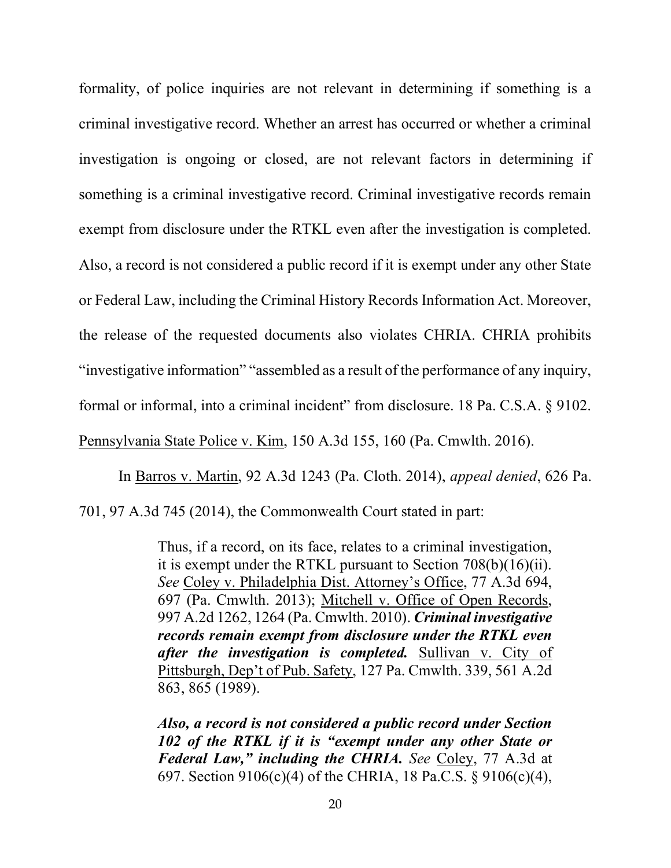formality, of police inquiries are not relevant in determining if something is a criminal investigative record. Whether an arrest has occurred or whether a criminal investigation is ongoing or closed, are not relevant factors in determining if something is a criminal investigative record. Criminal investigative records remain exempt from disclosure under the RTKL even after the investigation is completed. Also, a record is not considered a public record if it is exempt under any other State or Federal Law, including the Criminal History Records Information Act. Moreover, the release of the requested documents also violates CHRIA. CHRIA prohibits "investigative information" "assembled as a result of the performance of any inquiry, formal or informal, into a criminal incident" from disclosure. 18 Pa. C.S.A. § 9102. Pennsylvania State Police v. Kim, 150 A.3d 155, 160 (Pa. Cmwlth. 2016).

 In Barros v. Martin, 92 A.3d 1243 (Pa. Cloth. 2014), appeal denied, 626 Pa. 701, 97 A.3d 745 (2014), the Commonwealth Court stated in part:

> Thus, if a record, on its face, relates to a criminal investigation, it is exempt under the RTKL pursuant to Section 708(b)(16)(ii). See Coley v. Philadelphia Dist. Attorney's Office, 77 A.3d 694, 697 (Pa. Cmwlth. 2013); Mitchell v. Office of Open Records, 997 A.2d 1262, 1264 (Pa. Cmwlth. 2010). Criminal investigative records remain exempt from disclosure under the RTKL even after the *investigation* is *completed*. Sullivan v. City of Pittsburgh, Dep't of Pub. Safety, 127 Pa. Cmwlth. 339, 561 A.2d 863, 865 (1989).

> Also, a record is not considered a public record under Section 102 of the RTKL if it is "exempt under any other State or Federal Law," including the CHRIA. See Coley, 77 A.3d at 697. Section 9106(c)(4) of the CHRIA, 18 Pa.C.S. § 9106(c)(4),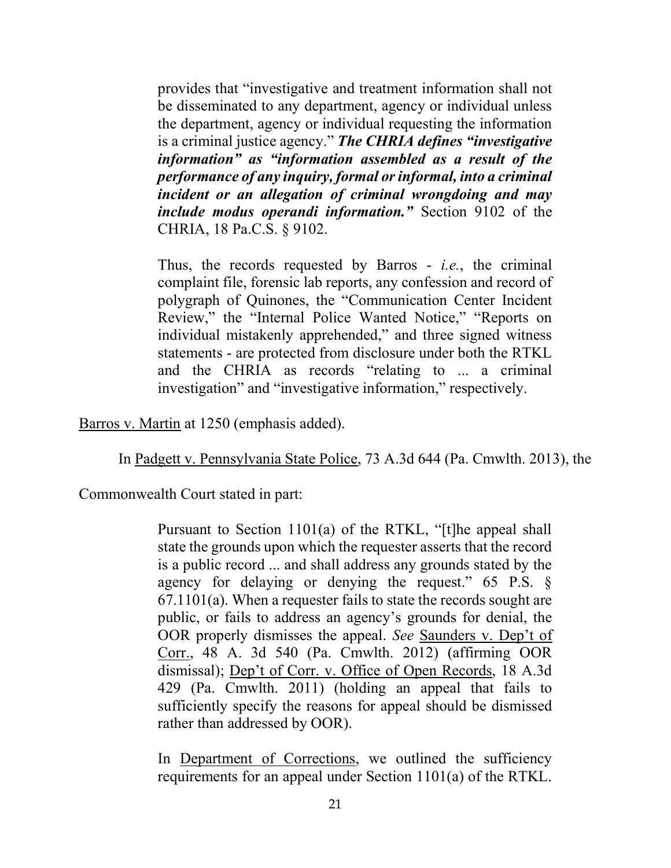provides that "investigative and treatment information shall not be disseminated to any department, agency or individual unless the department, agency or individual requesting the information is a criminal justice agency." The CHRIA defines "investigative" information" as "information assembled as a result of the performance of any inquiry, formal or informal, into a criminal incident or an allegation of criminal wrongdoing and may include modus operandi information." Section 9102 of the CHRIA, 18 Pa.C.S. § 9102.

Thus, the records requested by Barros - *i.e.*, the criminal complaint file, forensic lab reports, any confession and record of polygraph of Quinones, the "Communication Center Incident Review," the "Internal Police Wanted Notice," "Reports on individual mistakenly apprehended," and three signed witness statements - are protected from disclosure under both the RTKL and the CHRIA as records "relating to ... a criminal investigation" and "investigative information," respectively.

Barros v. Martin at 1250 (emphasis added).

In Padgett v. Pennsylvania State Police, 73 A.3d 644 (Pa. Cmwlth. 2013), the

Commonwealth Court stated in part:

Pursuant to Section 1101(a) of the RTKL, "[t]he appeal shall state the grounds upon which the requester asserts that the record is a public record ... and shall address any grounds stated by the agency for delaying or denying the request." 65 P.S. § 67.1101(a). When a requester fails to state the records sought are public, or fails to address an agency's grounds for denial, the OOR properly dismisses the appeal. See Saunders v. Dep't of Corr., 48 A. 3d 540 (Pa. Cmwlth. 2012) (affirming OOR dismissal); Dep't of Corr. v. Office of Open Records, 18 A.3d 429 (Pa. Cmwlth. 2011) (holding an appeal that fails to sufficiently specify the reasons for appeal should be dismissed rather than addressed by OOR).

In Department of Corrections, we outlined the sufficiency requirements for an appeal under Section 1101(a) of the RTKL.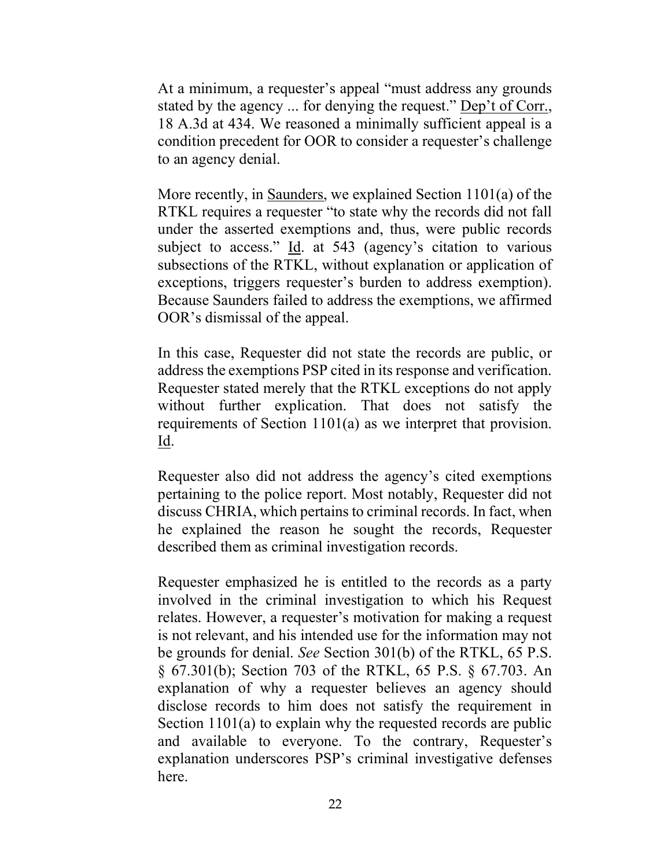At a minimum, a requester's appeal "must address any grounds stated by the agency ... for denying the request." Dep't of Corr., 18 A.3d at 434. We reasoned a minimally sufficient appeal is a condition precedent for OOR to consider a requester's challenge to an agency denial.

More recently, in Saunders, we explained Section 1101(a) of the RTKL requires a requester "to state why the records did not fall under the asserted exemptions and, thus, were public records subject to access." Id. at 543 (agency's citation to various subsections of the RTKL, without explanation or application of exceptions, triggers requester's burden to address exemption). Because Saunders failed to address the exemptions, we affirmed OOR's dismissal of the appeal.

In this case, Requester did not state the records are public, or address the exemptions PSP cited in its response and verification. Requester stated merely that the RTKL exceptions do not apply without further explication. That does not satisfy the requirements of Section 1101(a) as we interpret that provision. Id.

Requester also did not address the agency's cited exemptions pertaining to the police report. Most notably, Requester did not discuss CHRIA, which pertains to criminal records. In fact, when he explained the reason he sought the records, Requester described them as criminal investigation records.

Requester emphasized he is entitled to the records as a party involved in the criminal investigation to which his Request relates. However, a requester's motivation for making a request is not relevant, and his intended use for the information may not be grounds for denial. See Section 301(b) of the RTKL, 65 P.S. § 67.301(b); Section 703 of the RTKL, 65 P.S. § 67.703. An explanation of why a requester believes an agency should disclose records to him does not satisfy the requirement in Section 1101(a) to explain why the requested records are public and available to everyone. To the contrary, Requester's explanation underscores PSP's criminal investigative defenses here.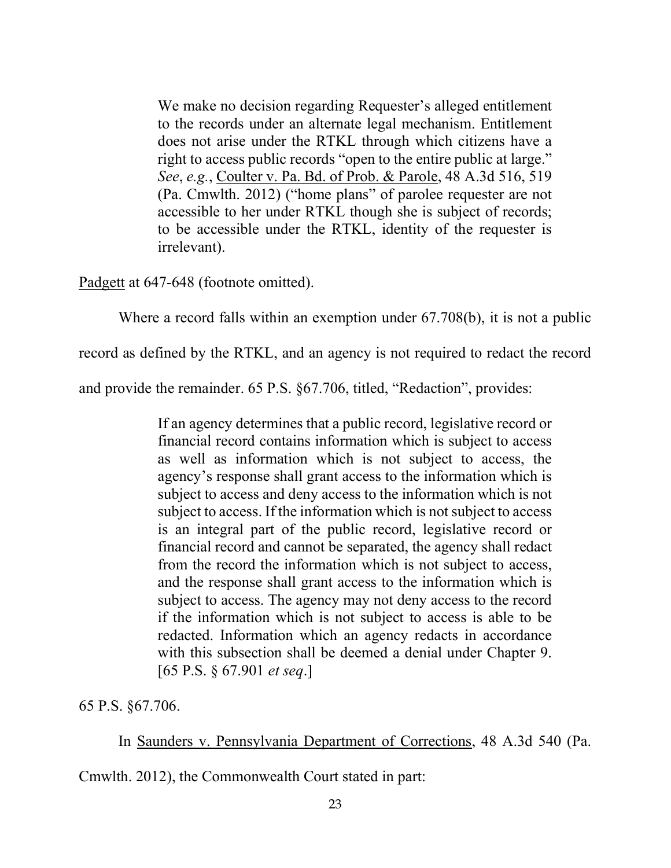We make no decision regarding Requester's alleged entitlement to the records under an alternate legal mechanism. Entitlement does not arise under the RTKL through which citizens have a right to access public records "open to the entire public at large." See, e.g., Coulter v. Pa. Bd. of Prob. & Parole, 48 A.3d 516, 519 (Pa. Cmwlth. 2012) ("home plans" of parolee requester are not accessible to her under RTKL though she is subject of records; to be accessible under the RTKL, identity of the requester is irrelevant).

Padgett at 647-648 (footnote omitted).

Where a record falls within an exemption under 67.708(b), it is not a public

record as defined by the RTKL, and an agency is not required to redact the record

and provide the remainder. 65 P.S. §67.706, titled, "Redaction", provides:

If an agency determines that a public record, legislative record or financial record contains information which is subject to access as well as information which is not subject to access, the agency's response shall grant access to the information which is subject to access and deny access to the information which is not subject to access. If the information which is not subject to access is an integral part of the public record, legislative record or financial record and cannot be separated, the agency shall redact from the record the information which is not subject to access, and the response shall grant access to the information which is subject to access. The agency may not deny access to the record if the information which is not subject to access is able to be redacted. Information which an agency redacts in accordance with this subsection shall be deemed a denial under Chapter 9. [65 P.S. § 67.901 et seq.]

65 P.S. §67.706.

In Saunders v. Pennsylvania Department of Corrections, 48 A.3d 540 (Pa.

Cmwlth. 2012), the Commonwealth Court stated in part: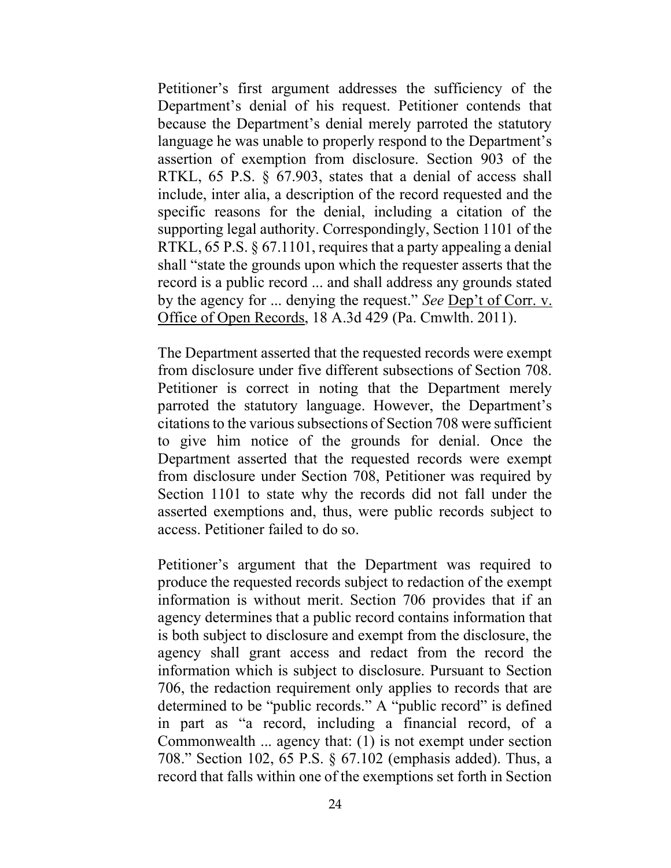Petitioner's first argument addresses the sufficiency of the Department's denial of his request. Petitioner contends that because the Department's denial merely parroted the statutory language he was unable to properly respond to the Department's assertion of exemption from disclosure. Section 903 of the RTKL, 65 P.S. § 67.903, states that a denial of access shall include, inter alia, a description of the record requested and the specific reasons for the denial, including a citation of the supporting legal authority. Correspondingly, Section 1101 of the RTKL, 65 P.S. § 67.1101, requires that a party appealing a denial shall "state the grounds upon which the requester asserts that the record is a public record ... and shall address any grounds stated by the agency for ... denying the request." See Dep't of Corr. v. Office of Open Records, 18 A.3d 429 (Pa. Cmwlth. 2011).

The Department asserted that the requested records were exempt from disclosure under five different subsections of Section 708. Petitioner is correct in noting that the Department merely parroted the statutory language. However, the Department's citations to the various subsections of Section 708 were sufficient to give him notice of the grounds for denial. Once the Department asserted that the requested records were exempt from disclosure under Section 708, Petitioner was required by Section 1101 to state why the records did not fall under the asserted exemptions and, thus, were public records subject to access. Petitioner failed to do so.

Petitioner's argument that the Department was required to produce the requested records subject to redaction of the exempt information is without merit. Section 706 provides that if an agency determines that a public record contains information that is both subject to disclosure and exempt from the disclosure, the agency shall grant access and redact from the record the information which is subject to disclosure. Pursuant to Section 706, the redaction requirement only applies to records that are determined to be "public records." A "public record" is defined in part as "a record, including a financial record, of a Commonwealth ... agency that: (1) is not exempt under section 708." Section 102, 65 P.S. § 67.102 (emphasis added). Thus, a record that falls within one of the exemptions set forth in Section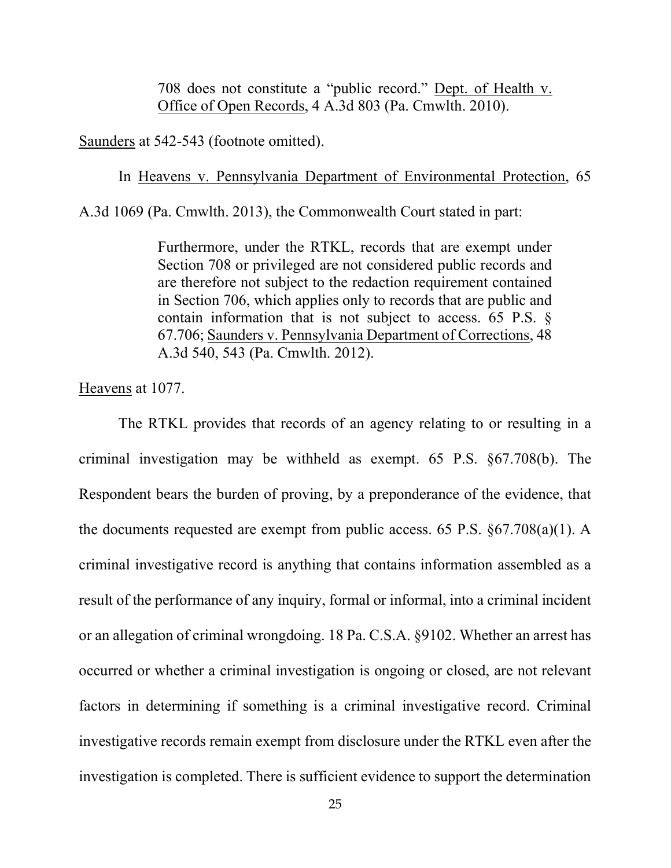708 does not constitute a "public record." Dept. of Health v. Office of Open Records, 4 A.3d 803 (Pa. Cmwlth. 2010).

Saunders at 542-543 (footnote omitted).

In Heavens v. Pennsylvania Department of Environmental Protection, 65

A.3d 1069 (Pa. Cmwlth. 2013), the Commonwealth Court stated in part:

Furthermore, under the RTKL, records that are exempt under Section 708 or privileged are not considered public records and are therefore not subject to the redaction requirement contained in Section 706, which applies only to records that are public and contain information that is not subject to access. 65 P.S. § 67.706; Saunders v. Pennsylvania Department of Corrections, 48 A.3d 540, 543 (Pa. Cmwlth. 2012).

Heavens at 1077.

 The RTKL provides that records of an agency relating to or resulting in a criminal investigation may be withheld as exempt. 65 P.S. §67.708(b). The Respondent bears the burden of proving, by a preponderance of the evidence, that the documents requested are exempt from public access. 65 P.S. §67.708(a)(1). A criminal investigative record is anything that contains information assembled as a result of the performance of any inquiry, formal or informal, into a criminal incident or an allegation of criminal wrongdoing. 18 Pa. C.S.A. §9102. Whether an arrest has occurred or whether a criminal investigation is ongoing or closed, are not relevant factors in determining if something is a criminal investigative record. Criminal investigative records remain exempt from disclosure under the RTKL even after the investigation is completed. There is sufficient evidence to support the determination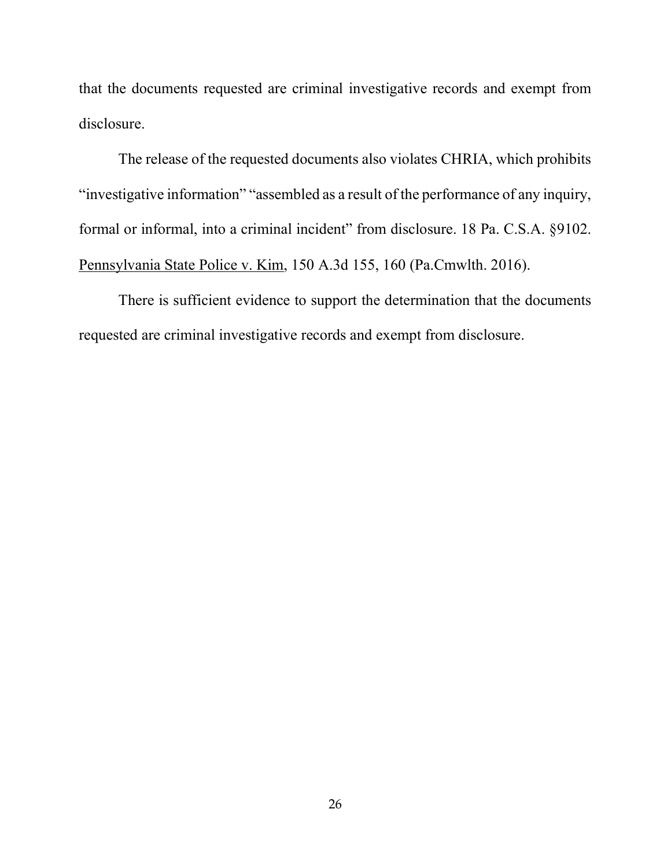that the documents requested are criminal investigative records and exempt from disclosure.

 The release of the requested documents also violates CHRIA, which prohibits "investigative information" "assembled as a result of the performance of any inquiry, formal or informal, into a criminal incident" from disclosure. 18 Pa. C.S.A. §9102. Pennsylvania State Police v. Kim, 150 A.3d 155, 160 (Pa.Cmwlth. 2016).

There is sufficient evidence to support the determination that the documents requested are criminal investigative records and exempt from disclosure.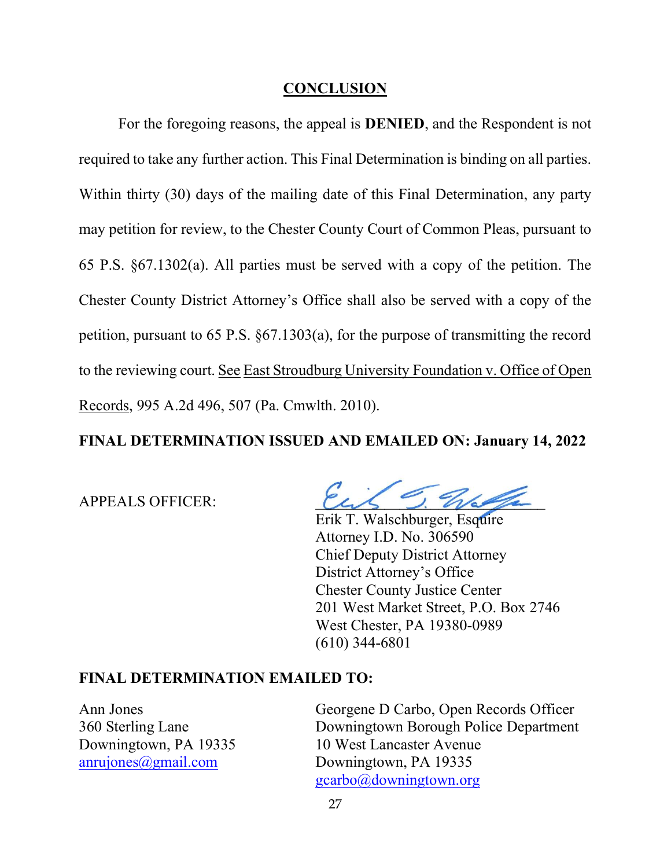#### **CONCLUSION**

 For the foregoing reasons, the appeal is DENIED, and the Respondent is not required to take any further action. This Final Determination is binding on all parties. Within thirty (30) days of the mailing date of this Final Determination, any party may petition for review, to the Chester County Court of Common Pleas, pursuant to 65 P.S. §67.1302(a). All parties must be served with a copy of the petition. The Chester County District Attorney's Office shall also be served with a copy of the petition, pursuant to 65 P.S. §67.1303(a), for the purpose of transmitting the record to the reviewing court. See East Stroudburg University Foundation v. Office of Open Records, 995 A.2d 496, 507 (Pa. Cmwlth. 2010).

## FINAL DETERMINATION ISSUED AND EMAILED ON: January 14, 2022

APPEALS OFFICER:

 Erik T. Walschburger, Esquire Attorney I.D. No. 306590 Chief Deputy District Attorney District Attorney's Office Chester County Justice Center 201 West Market Street, P.O. Box 2746 West Chester, PA 19380-0989 (610) 344-6801

#### FINAL DETERMINATION EMAILED TO:

Ann Jones Georgene D Carbo, Open Records Officer 360 Sterling Lane Downingtown Borough Police Department Downingtown, PA 19335 10 West Lancaster Avenue anrujones@gmail.com Downingtown, PA 19335 gcarbo@downingtown.org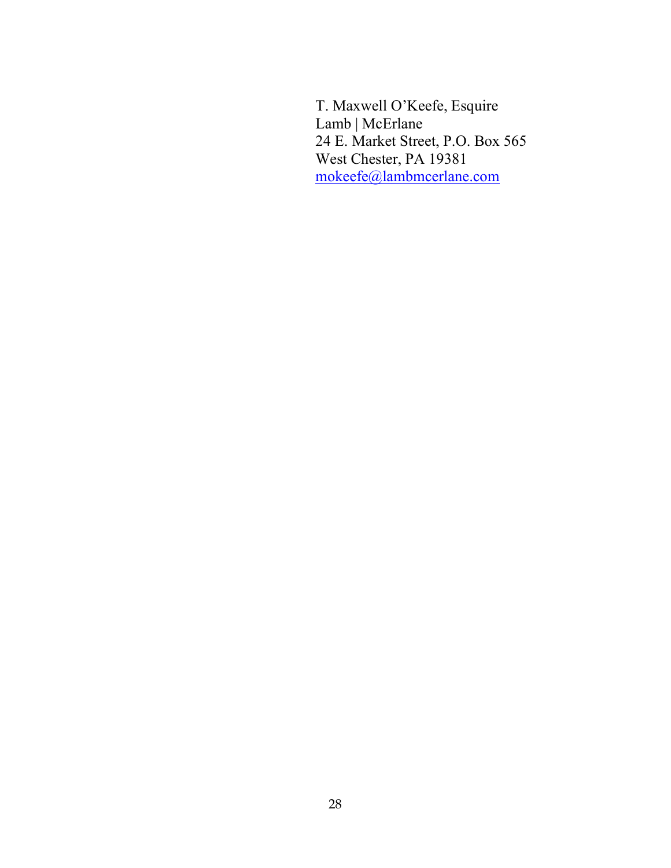T. Maxwell O'Keefe, Esquire Lamb | McErlane 24 E. Market Street, P.O. Box 565 West Chester, PA 19381 mokeefe@lambmcerlane.com